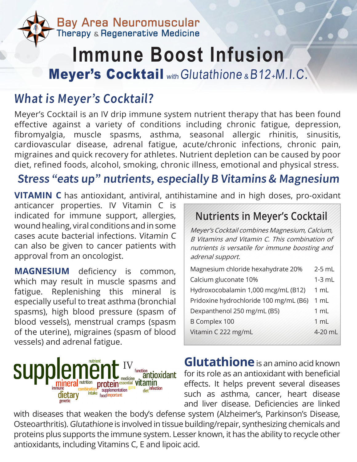

## **Immune Boost Infusion** Meyer's Cocktail withGlutathione & B12+M.I.C.

## What is Meyer's Cocktail?

Meyer's Cocktail is an IV drip immune system nutrient therapy that has been found effective against a variety of conditions including chronic fatigue, depression, fibromyalgia, muscle spasms, asthma, seasonal allergic rhinitis, sinusitis, cardiovascular disease, adrenal fatigue, acute/chronic infections, chronic pain, migraines and quick recovery for athletes. Nutrient depletion can be caused by poor diet, refined foods, alcohol, smoking, chronic illness, emotional and physical stress.

## Stress "eats up" nutrients, especially B Vitamins & Magnesium

**VITAMIN C** has antioxidant, antiviral, antihistamine and in high doses, pro-oxidant

anticancer properties. IV Vitamin C is indicated for immune support, allergies, wound healing, viral conditions and in some cases acute bacterial infections. Vitamin C can also be given to cancer patients with approval from an oncologist.

**MAGNESIUM** deficiency is common, which may result in muscle spasms and fatigue. Replenishing this mineral is especially useful to treat asthma (bronchial spasms), high blood pressure (spasm of blood vessels), menstrual cramps (spasm of the uterine), migraines (spasm of blood vessels) and adrenal fatigue.



## **Nutrients in Meyer's Cocktail**

Meyer's Cocktail combines Magnesium, Calcium, B Vitamins and Vitamin C. This combination of nutrients is versatile for immune boosting and adrenal support.

| Magnesium chloride hexahydrate 20%     | $2-5$ mL       |
|----------------------------------------|----------------|
| Calcium gluconate 10%                  | $1-3$ mL       |
| Hydroxocobalamin 1,000 mcg/mL (B12)    | 1 mL           |
| Pridoxine hydrochloride 100 mg/mL (B6) | 1 mL           |
| Dexpanthenol 250 mg/mL (B5)            | $1 \text{ mL}$ |
| <b>B Complex 100</b>                   | 1 mL           |
| Vitamin C 222 mg/mL                    | 4-20 mL        |
|                                        |                |

**Glutathione**is an amino acid known for its role as an antioxidant with beneficial effects. It helps prevent several diseases such as asthma, cancer, heart disease and liver disease. Deficiencies are linked

with diseases that weaken the body's defense system (Alzheimer's, Parkinson's Disease, Osteoarthritis). Glutathione is involved in tissue building/repair, synthesizing chemicals and proteins plus supports the immune system. Lesser known, it has the ability to recycle other antioxidants, including Vitamins C, E and lipoic acid.